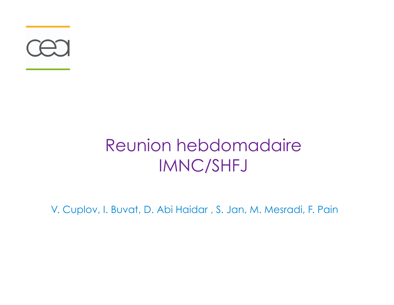

#### Reunion hebdomadaire IMNC/SHFJ

V. Cuplov, I. Buvat, D. Abi Haidar , S. Jan, M. Mesradi, F. Pain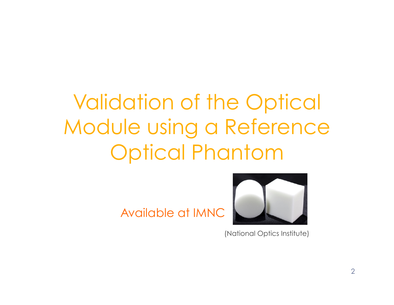## Validation of the Optical Module using a Reference Optical Phantom

Available at IMNC



(National Optics Institute)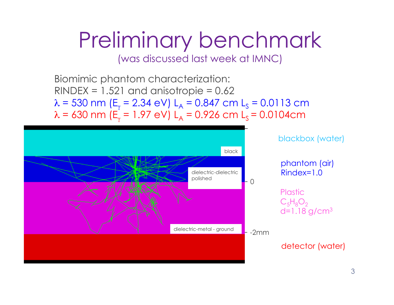# Preliminary benchmark

(was discussed last week at IMNC)

Biomimic phantom characterization:  $RINDER = 1.521$  and anisotropie = 0.62  $\lambda$  = 530 nm (E<sub>y</sub> = 2.34 eV) L<sub>A</sub> = 0.847 cm L<sub>S</sub> = 0.0113 cm  $\lambda$  = 630 nm (E<sub>y</sub> = 1.97 eV) L<sub>A</sub> = 0.926 cm L<sub>S</sub> = 0.0104cm

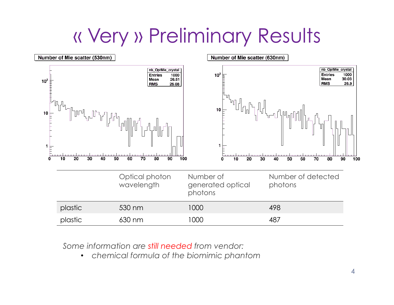## « Very » Preliminary Results



*Some information are still needed from vendor:* 

• *chemical formula of the biomimic phantom*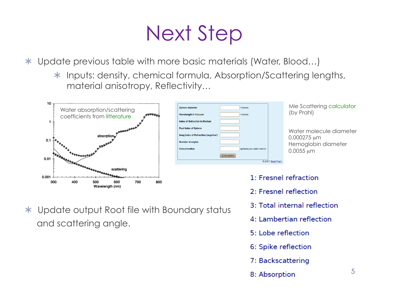## Next Step

Update previous table with more basic materials (Water, Blood…)

\* Inputs: density, chemical formula, Absorption/Scattering lengths, material anisotropy, Reflectivity…



and scattering angle.

Update output Root file with Boundary status



Mie Scattering calculator

Water molecule diameter 0.000275 µm Hemoglobin diameter 0.0055 µm

- 1: Fresnel refraction
- 2: Fresnel reflection
- 3: Total internal reflection
- 4: Lambertian reflection
- 5: Lobe reflection
- 6: Spike reflection
- 7: Backscattering
- 8: Absorption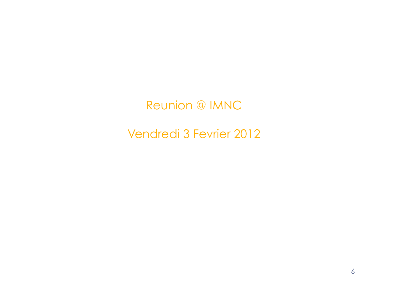Reunion @ IMNC

Vendredi 3 Fevrier 2012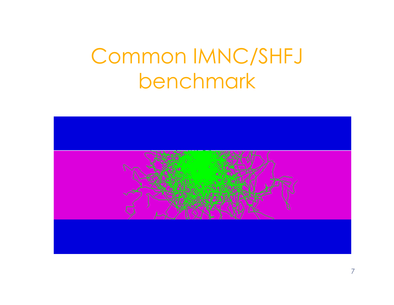## Common IMNC/SHFJ benchmark

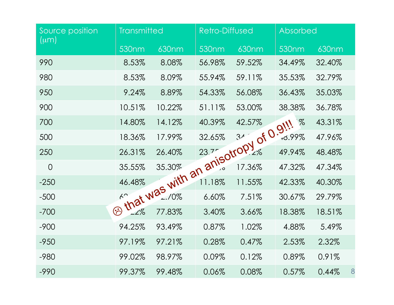| Source position<br>$(\mu m)$ | <b>Transmitted</b> |        |                   | <b>Retro-Diffused</b>             |                         | <b>Absorbed</b> |   |
|------------------------------|--------------------|--------|-------------------|-----------------------------------|-------------------------|-----------------|---|
|                              | 530 <sub>nm</sub>  | 630nm  | 530 <sub>nm</sub> | 630nm                             | $530$ nm                | 630nm           |   |
| 990                          | 8.53%              | 8.08%  | 56.98%            | 59.52%                            | 34.49%                  | 32.40%          |   |
| 980                          | 8.53%              | 8.09%  | 55.94%            | 59.11%                            | 35.53%                  | 32.79%          |   |
| 950                          | 9.24%              | 8.89%  | 54.33%            | 56.08%                            | 36.43%                  | 35.03%          |   |
| 900                          | 10.51%             | 10.22% | 51.11%            | 53.00%                            | 38.38%                  | 36.78%          |   |
| 700                          | 14.80%             | 14.12% | 40.39%            | 42.57%                            | $\%$<br>$\partial_{ij}$ | 43.31%          |   |
| 500                          |                    |        |                   |                                   | $+0.99\%$               | 47.96%          |   |
| 250                          |                    |        |                   | that was with an anisotropy of 0. | 49.94%                  | 48.48%          |   |
| $\overline{0}$               |                    |        |                   |                                   | 47.32%                  | 47.34%          |   |
| $-250$                       |                    |        |                   |                                   | 42.33%                  | 40.30%          |   |
| $-500$                       |                    |        |                   |                                   | 30.67%                  | 29.79%          |   |
| $-700$                       | $\odot$            |        |                   |                                   | 18.38%                  | 18.51%          |   |
| $-900$                       | 94.25%             | 93.49% | 0.87%             | 1.02%                             | 4.88%                   | 5.49%           |   |
| $-950$                       | 97.19%             | 97.21% | 0.28%             | 0.47%                             | 2.53%                   | 2.32%           |   |
| $-980$                       | 99.02%             | 98.97% | 0.09%             | 0.12%                             | 0.89%                   | 0.91%           |   |
| $-990$                       | 99.37%             | 99.48% | 0.06%             | 0.08%                             | 0.57%                   | 0.44%           | 8 |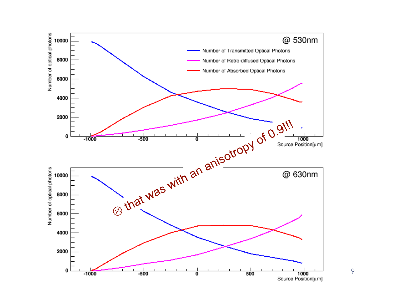

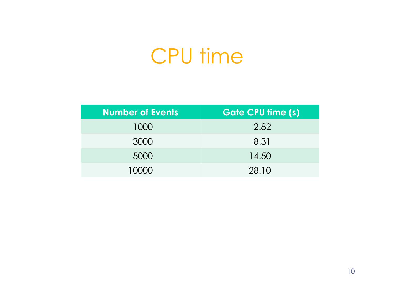#### CPU time

| <b>Number of Events</b> | <b>Gate CPU time (s)</b> |  |  |
|-------------------------|--------------------------|--|--|
| 1000                    | 2.82                     |  |  |
| 3000                    | 8.31                     |  |  |
| 5000                    | 14.50                    |  |  |
| 10000                   | 28.10                    |  |  |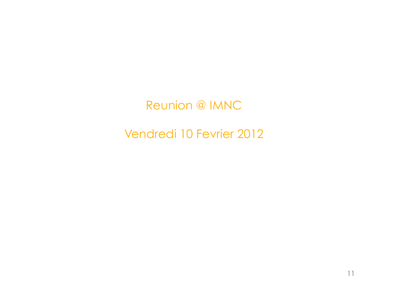Reunion @ IMNC

Vendredi 10 Fevrier 2012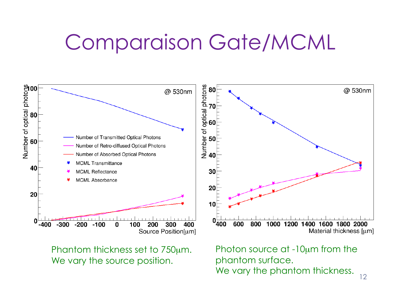## Comparaison Gate/MCML



Phantom thickness set to 750µm. We vary the source position.

Photon source at -10µm from the phantom surface. We vary the phantom thickness.  $_{12}$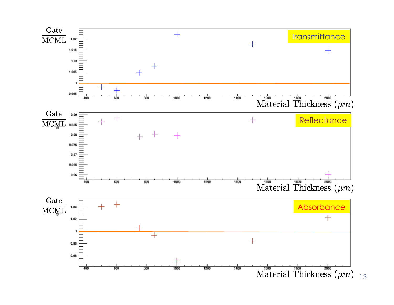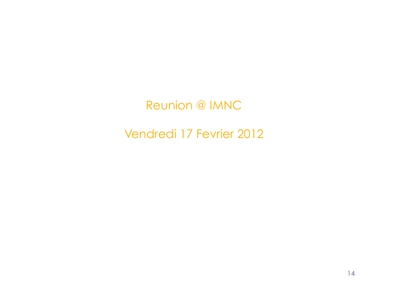#### Reunion @ IMNC

#### Vendredi 17 Fevrier 2012